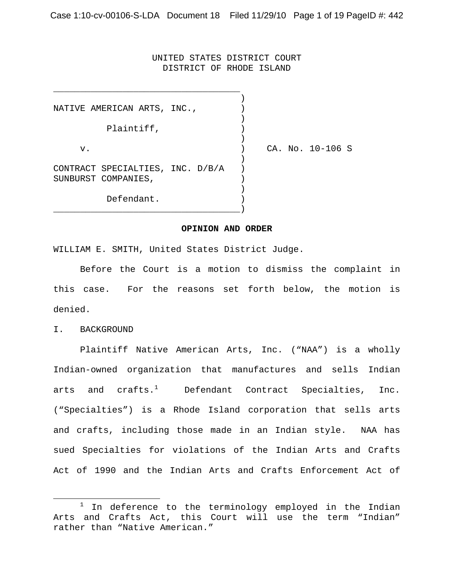### UNITED STATES DISTRICT COURT DISTRICT OF RHODE ISLAND

) and the contract of  $\mathcal{L}$ NATIVE AMERICAN ARTS, INC.,  $|$ ) and the contract of  $\mathcal{L}$ Plaintiff,  $)$ ) and the contract of  $\mathcal{L}$ v. ) CA. No. 10-106 S ) and the contract of  $\mathcal{L}$ CONTRACT SPECIALTIES, INC. D/B/A ) SUNBURST COMPANIES, ) and the contract of  $\mathcal{L}$ Defendant. )

\_\_\_\_\_\_\_\_\_\_\_\_\_\_\_\_\_\_\_\_\_\_\_\_\_\_\_\_\_\_\_\_\_\_\_)

\_\_\_\_\_\_\_\_\_\_\_\_\_\_\_\_\_\_\_\_\_\_\_\_\_\_\_\_\_\_\_\_\_\_\_

#### **OPINION AND ORDER**

WILLIAM E. SMITH, United States District Judge.

Before the Court is a motion to dismiss the complaint in this case. For the reasons set forth below, the motion is denied.

I. BACKGROUND

Plaintiff Native American Arts, Inc. ("NAA") is a wholly Indian-owned organization that manufactures and sells Indian arts and  $\text{crafts.}^1$  Defendant Contract Specialties, Inc. ("Specialties") is a Rhode Island corporation that sells arts and crafts, including those made in an Indian style. NAA has sued Specialties for violations of the Indian Arts and Crafts Act of 1990 and the Indian Arts and Crafts Enforcement Act of

 <sup>1</sup>  $1$  In deference to the terminology employed in the Indian Arts and Crafts Act, this Court will use the term "Indian" rather than "Native American."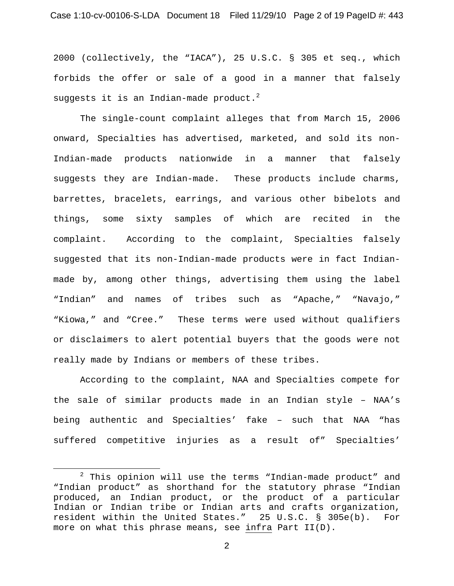2000 (collectively, the "IACA"), 25 U.S.C. § 305 et seq., which forbids the offer or sale of a good in a manner that falsely suggests it is an Indian-made  $\texttt{product.}^2$ 

The single-count complaint alleges that from March 15, 2006 onward, Specialties has advertised, marketed, and sold its non-Indian-made products nationwide in a manner that falsely suggests they are Indian-made. These products include charms, barrettes, bracelets, earrings, and various other bibelots and things, some sixty samples of which are recited in the complaint. According to the complaint, Specialties falsely suggested that its non-Indian-made products were in fact Indianmade by, among other things, advertising them using the label "Indian" and names of tribes such as "Apache," "Navajo," "Kiowa," and "Cree." These terms were used without qualifiers or disclaimers to alert potential buyers that the goods were not really made by Indians or members of these tribes.

According to the complaint, NAA and Specialties compete for the sale of similar products made in an Indian style – NAA's being authentic and Specialties' fake – such that NAA "has suffered competitive injuries as a result of" Specialties'

 $\overline{\phantom{a}}$  2  $2$  This opinion will use the terms "Indian-made product" and "Indian product" as shorthand for the statutory phrase "Indian produced, an Indian product, or the product of a particular Indian or Indian tribe or Indian arts and crafts organization, resident within the United States." 25 U.S.C. § 305e(b). For more on what this phrase means, see infra Part II(D).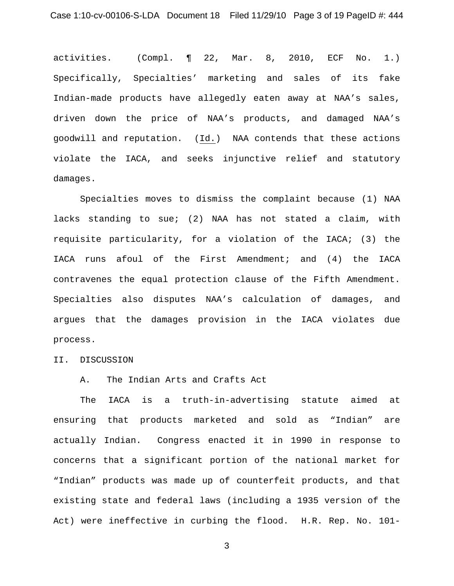activities. (Compl. ¶ 22, Mar. 8, 2010, ECF No. 1.) Specifically, Specialties' marketing and sales of its fake Indian-made products have allegedly eaten away at NAA's sales, driven down the price of NAA's products, and damaged NAA's goodwill and reputation. (Id.) NAA contends that these actions violate the IACA, and seeks injunctive relief and statutory damages.

Specialties moves to dismiss the complaint because (1) NAA lacks standing to sue; (2) NAA has not stated a claim, with requisite particularity, for a violation of the IACA; (3) the IACA runs afoul of the First Amendment; and (4) the IACA contravenes the equal protection clause of the Fifth Amendment. Specialties also disputes NAA's calculation of damages, and argues that the damages provision in the IACA violates due process.

### II. DISCUSSION

## A. The Indian Arts and Crafts Act

The IACA is a truth-in-advertising statute aimed at ensuring that products marketed and sold as "Indian" are actually Indian. Congress enacted it in 1990 in response to concerns that a significant portion of the national market for "Indian" products was made up of counterfeit products, and that existing state and federal laws (including a 1935 version of the Act) were ineffective in curbing the flood. H.R. Rep. No. 101-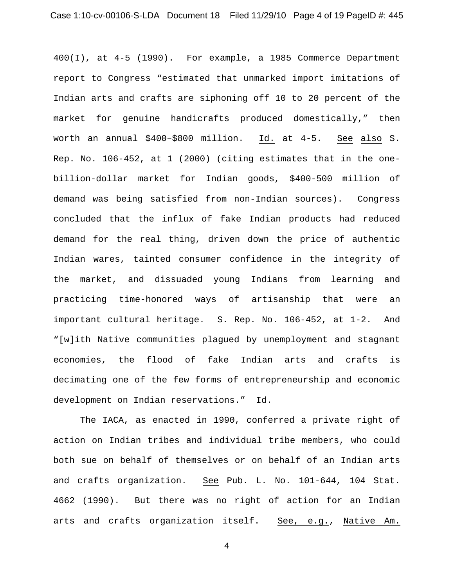400(I), at 4-5 (1990). For example, a 1985 Commerce Department report to Congress "estimated that unmarked import imitations of Indian arts and crafts are siphoning off 10 to 20 percent of the market for genuine handicrafts produced domestically," then worth an annual \$400–\$800 million. Id. at 4-5. See also S. Rep. No. 106-452, at 1 (2000) (citing estimates that in the onebillion-dollar market for Indian goods, \$400-500 million of demand was being satisfied from non-Indian sources). Congress concluded that the influx of fake Indian products had reduced demand for the real thing, driven down the price of authentic Indian wares, tainted consumer confidence in the integrity of the market, and dissuaded young Indians from learning and practicing time-honored ways of artisanship that were an important cultural heritage. S. Rep. No. 106-452, at 1-2. And "[w]ith Native communities plagued by unemployment and stagnant economies, the flood of fake Indian arts and crafts is decimating one of the few forms of entrepreneurship and economic development on Indian reservations." Id.

The IACA, as enacted in 1990, conferred a private right of action on Indian tribes and individual tribe members, who could both sue on behalf of themselves or on behalf of an Indian arts and crafts organization. See Pub. L. No. 101-644, 104 Stat. 4662 (1990). But there was no right of action for an Indian arts and crafts organization itself. See, e.g., Native Am.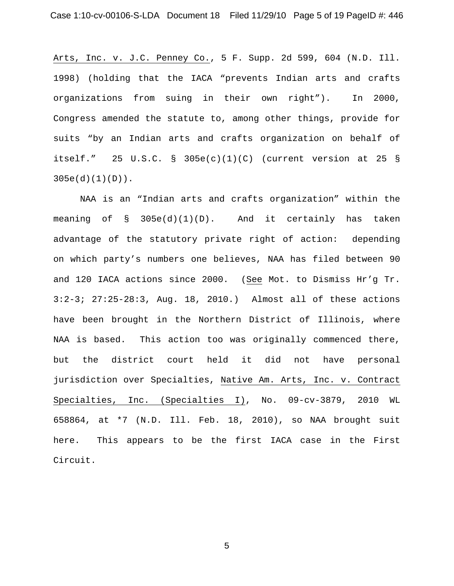Arts, Inc. v. J.C. Penney Co., 5 F. Supp. 2d 599, 604 (N.D. Ill. 1998) (holding that the IACA "prevents Indian arts and crafts organizations from suing in their own right"). In 2000, Congress amended the statute to, among other things, provide for suits "by an Indian arts and crafts organization on behalf of itself." 25 U.S.C. § 305e(c)(1)(C) (current version at 25 § 305e(d)(1)(D)).

NAA is an "Indian arts and crafts organization" within the meaning of § 305e(d)(1)(D). And it certainly has taken advantage of the statutory private right of action: depending on which party's numbers one believes, NAA has filed between 90 and 120 IACA actions since 2000. (See Mot. to Dismiss Hr'g Tr. 3:2-3; 27:25-28:3, Aug. 18, 2010.) Almost all of these actions have been brought in the Northern District of Illinois, where NAA is based. This action too was originally commenced there, but the district court held it did not have personal jurisdiction over Specialties, Native Am. Arts, Inc. v. Contract Specialties, Inc. (Specialties I), No. 09-cv-3879, 2010 WL 658864, at \*7 (N.D. Ill. Feb. 18, 2010), so NAA brought suit here. This appears to be the first IACA case in the First Circuit.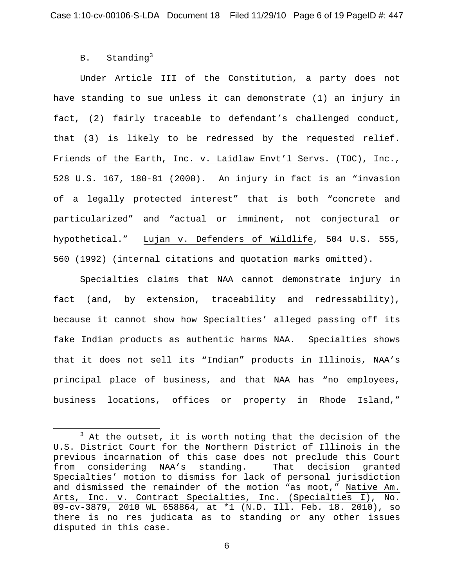# B. Standing<sup>3</sup>

Under Article III of the Constitution, a party does not have standing to sue unless it can demonstrate (1) an injury in fact, (2) fairly traceable to defendant's challenged conduct, that (3) is likely to be redressed by the requested relief. Friends of the Earth, Inc. v. Laidlaw Envt'l Servs. (TOC), Inc., 528 U.S. 167, 180-81 (2000). An injury in fact is an "invasion of a legally protected interest" that is both "concrete and particularized" and "actual or imminent, not conjectural or hypothetical." Lujan v. Defenders of Wildlife, 504 U.S. 555, 560 (1992) (internal citations and quotation marks omitted).

Specialties claims that NAA cannot demonstrate injury in fact (and, by extension, traceability and redressability), because it cannot show how Specialties' alleged passing off its fake Indian products as authentic harms NAA. Specialties shows that it does not sell its "Indian" products in Illinois, NAA's principal place of business, and that NAA has "no employees, business locations, offices or property in Rhode Island,"

 $\overline{\phantom{a}}$  3  $3$  At the outset, it is worth noting that the decision of the U.S. District Court for the Northern District of Illinois in the previous incarnation of this case does not preclude this Court from considering NAA's standing. That decision granted Specialties' motion to dismiss for lack of personal jurisdiction and dismissed the remainder of the motion "as moot," Native Am. Arts, Inc. v. Contract Specialties, Inc. (Specialties I), No. 09-cv-3879, 2010 WL 658864, at \*1 (N.D. Ill. Feb. 18. 2010), so there is no res judicata as to standing or any other issues disputed in this case.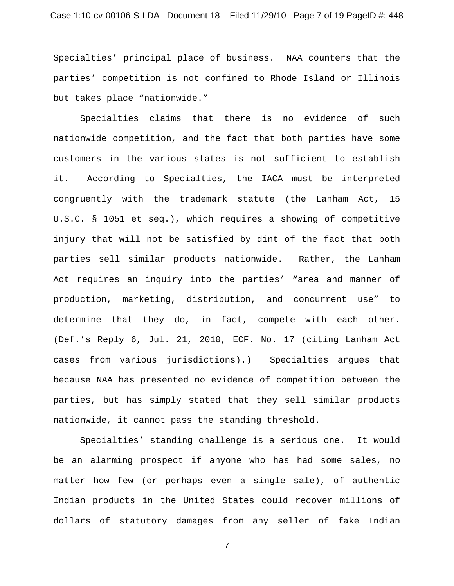Specialties' principal place of business. NAA counters that the parties' competition is not confined to Rhode Island or Illinois but takes place "nationwide."

Specialties claims that there is no evidence of such nationwide competition, and the fact that both parties have some customers in the various states is not sufficient to establish it. According to Specialties, the IACA must be interpreted congruently with the trademark statute (the Lanham Act, 15 U.S.C. § 1051 et seq.), which requires a showing of competitive injury that will not be satisfied by dint of the fact that both parties sell similar products nationwide. Rather, the Lanham Act requires an inquiry into the parties' "area and manner of production, marketing, distribution, and concurrent use" to determine that they do, in fact, compete with each other. (Def.'s Reply 6, Jul. 21, 2010, ECF. No. 17 (citing Lanham Act cases from various jurisdictions).) Specialties argues that because NAA has presented no evidence of competition between the parties, but has simply stated that they sell similar products nationwide, it cannot pass the standing threshold.

Specialties' standing challenge is a serious one. It would be an alarming prospect if anyone who has had some sales, no matter how few (or perhaps even a single sale), of authentic Indian products in the United States could recover millions of dollars of statutory damages from any seller of fake Indian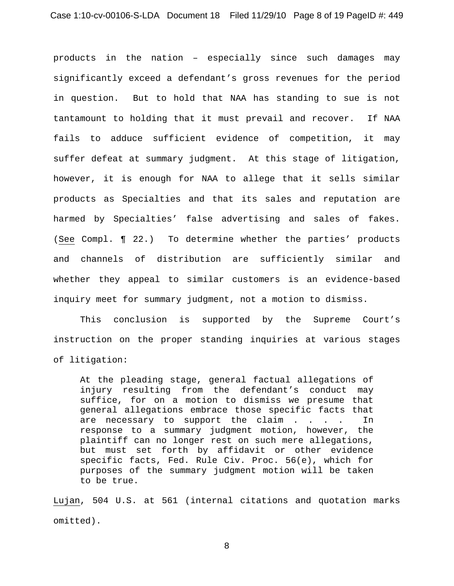products in the nation – especially since such damages may significantly exceed a defendant's gross revenues for the period in question. But to hold that NAA has standing to sue is not tantamount to holding that it must prevail and recover. If NAA fails to adduce sufficient evidence of competition, it may suffer defeat at summary judgment. At this stage of litigation, however, it is enough for NAA to allege that it sells similar products as Specialties and that its sales and reputation are harmed by Specialties' false advertising and sales of fakes. (See Compl. ¶ 22.) To determine whether the parties' products and channels of distribution are sufficiently similar and whether they appeal to similar customers is an evidence-based inquiry meet for summary judgment, not a motion to dismiss.

This conclusion is supported by the Supreme Court's instruction on the proper standing inquiries at various stages of litigation:

At the pleading stage, general factual allegations of injury resulting from the defendant's conduct may suffice, for on a motion to dismiss we presume that general allegations embrace those specific facts that are necessary to support the claim . . . . In response to a summary judgment motion, however, the plaintiff can no longer rest on such mere allegations, but must set forth by affidavit or other evidence specific facts, Fed. Rule Civ. Proc. 56(e), which for purposes of the summary judgment motion will be taken to be true.

Lujan, 504 U.S. at 561 (internal citations and quotation marks omitted).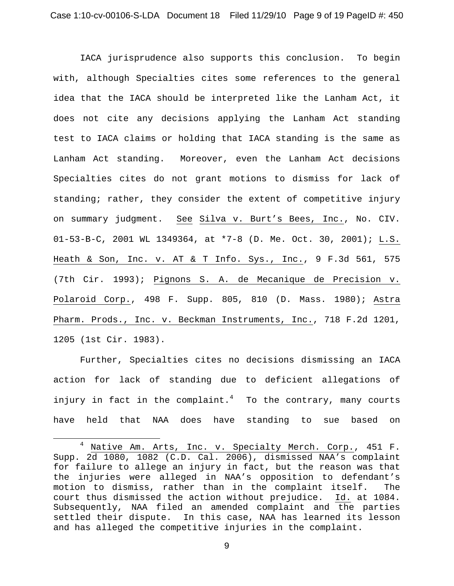IACA jurisprudence also supports this conclusion. To begin with, although Specialties cites some references to the general idea that the IACA should be interpreted like the Lanham Act, it does not cite any decisions applying the Lanham Act standing test to IACA claims or holding that IACA standing is the same as Lanham Act standing. Moreover, even the Lanham Act decisions Specialties cites do not grant motions to dismiss for lack of standing; rather, they consider the extent of competitive injury on summary judgment. See Silva v. Burt's Bees, Inc., No. CIV. 01-53-B-C, 2001 WL 1349364, at \*7-8 (D. Me. Oct. 30, 2001); L.S. Heath & Son, Inc. v. AT & T Info. Sys., Inc., 9 F.3d 561, 575 (7th Cir. 1993); Pignons S. A. de Mecanique de Precision v. Polaroid Corp., 498 F. Supp. 805, 810 (D. Mass. 1980); Astra Pharm. Prods., Inc. v. Beckman Instruments, Inc., 718 F.2d 1201, 1205 (1st Cir. 1983).

Further, Specialties cites no decisions dismissing an IACA action for lack of standing due to deficient allegations of injury in fact in the complaint. $^4$  To the contrary, many courts have held that NAA does have standing to sue based on

 <sup>4</sup> <sup>4</sup> Native Am. Arts, Inc. v. Specialty Merch. Corp., 451 F. Supp. 2d 1080, 1082 (C.D. Cal. 2006), dismissed NAA's complaint for failure to allege an injury in fact, but the reason was that the injuries were alleged in NAA's opposition to defendant's motion to dismiss, rather than in the complaint itself. The court thus dismissed the action without prejudice. Id. at 1084. Subsequently, NAA filed an amended complaint and the parties settled their dispute. In this case, NAA has learned its lesson and has alleged the competitive injuries in the complaint.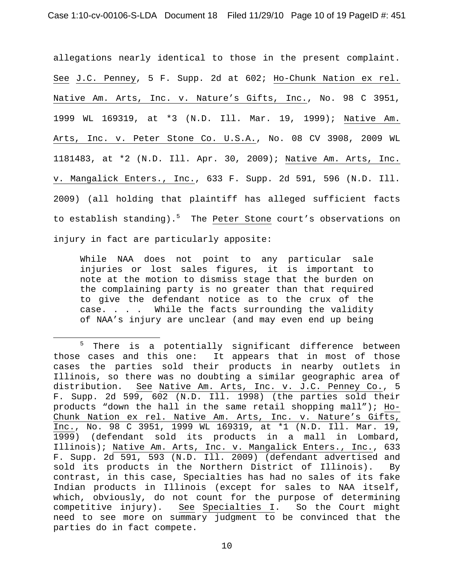allegations nearly identical to those in the present complaint. See J.C. Penney, 5 F. Supp. 2d at 602; Ho-Chunk Nation ex rel. Native Am. Arts, Inc. v. Nature's Gifts, Inc., No. 98 C 3951, 1999 WL 169319, at \*3 (N.D. Ill. Mar. 19, 1999); Native Am. Arts, Inc. v. Peter Stone Co. U.S.A., No. 08 CV 3908, 2009 WL 1181483, at \*2 (N.D. Ill. Apr. 30, 2009); Native Am. Arts, Inc. v. Mangalick Enters., Inc., 633 F. Supp. 2d 591, 596 (N.D. Ill. 2009) (all holding that plaintiff has alleged sufficient facts to establish standing).<sup>5</sup> The Peter Stone court's observations on injury in fact are particularly apposite:

While NAA does not point to any particular sale injuries or lost sales figures, it is important to note at the motion to dismiss stage that the burden on the complaining party is no greater than that required to give the defendant notice as to the crux of the case. . . . While the facts surrounding the validity of NAA's injury are unclear (and may even end up being

 $\frac{1}{5}$  $5$  There is a potentially significant difference between those cases and this one: It appears that in most of those cases the parties sold their products in nearby outlets in Illinois, so there was no doubting a similar geographic area of distribution. See Native Am. Arts, Inc. v. J.C. Penney Co., 5 F. Supp. 2d 599, 602 (N.D. Ill. 1998) (the parties sold their products "down the hall in the same retail shopping mall"); Ho-Chunk Nation ex rel. Native Am. Arts, Inc. v. Nature's Gifts, Inc., No. 98 C 3951, 1999 WL 169319, at \*1 (N.D. Ill. Mar. 19, 1999) (defendant sold its products in a mall in Lombard, Illinois); Native Am. Arts, Inc. v. Mangalick Enters., Inc., 633 F. Supp. 2d 591, 593 (N.D. Ill. 2009) (defendant advertised and sold its products in the Northern District of Illinois). By contrast, in this case, Specialties has had no sales of its fake Indian products in Illinois (except for sales to NAA itself, which, obviously, do not count for the purpose of determining competitive injury). See Specialties I. So the Court might need to see more on summary judgment to be convinced that the parties do in fact compete.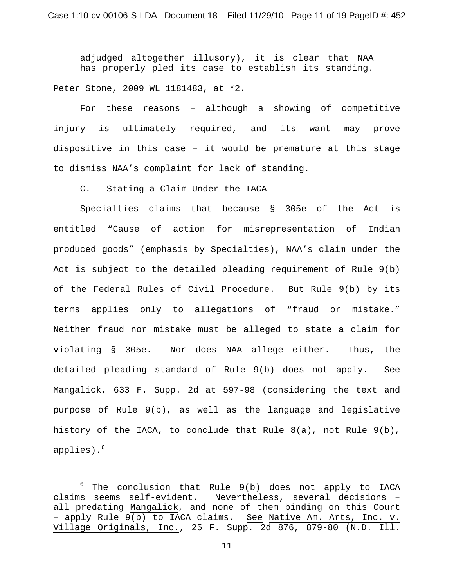adjudged altogether illusory), it is clear that NAA has properly pled its case to establish its standing.

Peter Stone, 2009 WL 1181483, at \*2.

For these reasons – although a showing of competitive injury is ultimately required, and its want may prove dispositive in this case – it would be premature at this stage to dismiss NAA's complaint for lack of standing.

C. Stating a Claim Under the IACA

Specialties claims that because § 305e of the Act is entitled "Cause of action for misrepresentation of Indian produced goods" (emphasis by Specialties), NAA's claim under the Act is subject to the detailed pleading requirement of Rule 9(b) of the Federal Rules of Civil Procedure. But Rule 9(b) by its terms applies only to allegations of "fraud or mistake." Neither fraud nor mistake must be alleged to state a claim for violating § 305e. Nor does NAA allege either. Thus, the detailed pleading standard of Rule 9(b) does not apply. See Mangalick, 633 F. Supp. 2d at 597-98 (considering the text and purpose of Rule 9(b), as well as the language and legislative history of the IACA, to conclude that Rule  $8(a)$ , not Rule  $9(b)$ , applies).<sup>6</sup>

 <sup>6</sup>  $6$  The conclusion that Rule  $9(b)$  does not apply to IACA claims seems self-evident. Nevertheless, several decisions – all predating Mangalick, and none of them binding on this Court - apply Rule  $9(b)$  to IACA claims. See Native Am. Arts, Inc. v. Village Originals, Inc., 25 F. Supp. 2d 876, 879-80 (N.D. Ill.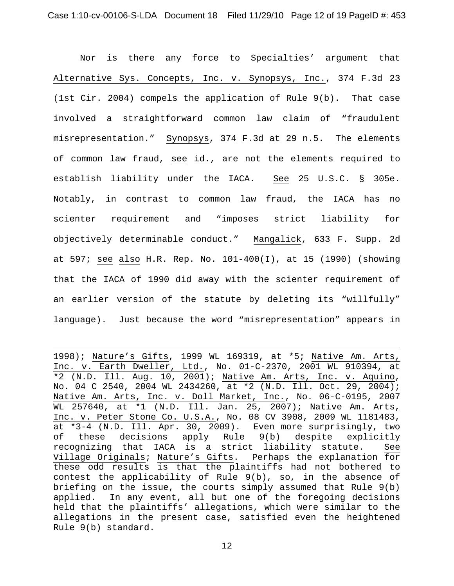Nor is there any force to Specialties' argument that Alternative Sys. Concepts, Inc. v. Synopsys, Inc., 374 F.3d 23 (1st Cir. 2004) compels the application of Rule 9(b). That case involved a straightforward common law claim of "fraudulent misrepresentation." Synopsys, 374 F.3d at 29 n.5. The elements of common law fraud, see id., are not the elements required to establish liability under the IACA. See 25 U.S.C. § 305e. Notably, in contrast to common law fraud, the IACA has no scienter requirement and "imposes strict liability for objectively determinable conduct." Mangalick, 633 F. Supp. 2d at 597; see also H.R. Rep. No. 101-400(I), at 15 (1990) (showing that the IACA of 1990 did away with the scienter requirement of an earlier version of the statute by deleting its "willfully" language). Just because the word "misrepresentation" appears in

i 1998); Nature's Gifts, 1999 WL 169319, at \*5; Native Am. Arts, Inc. v. Earth Dweller, Ltd., No. 01-C-2370, 2001 WL 910394, at \*2 (N.D. Ill. Aug. 10, 2001); Native Am. Arts, Inc. v. Aquino, No. 04 C 2540, 2004 WL 2434260, at \*2 (N.D. Ill. Oct. 29, 2004); Native Am. Arts, Inc. v. Doll Market, Inc., No. 06-C-0195, 2007 WL 257640, at \*1 (N.D. Ill. Jan. 25, 2007); Native Am. Arts, Inc. v. Peter Stone Co. U.S.A., No. 08 CV 3908, 2009 WL 1181483, at \*3-4 (N.D. Ill. Apr. 30, 2009). Even more surprisingly, two of these decisions apply Rule 9(b) despite explicitly recognizing that IACA is a strict liability statute. See Village Originals; Nature's Gifts. Perhaps the explanation for these odd results is that the plaintiffs had not bothered to contest the applicability of Rule 9(b), so, in the absence of briefing on the issue, the courts simply assumed that Rule 9(b) applied. In any event, all but one of the foregoing decisions held that the plaintiffs' allegations, which were similar to the allegations in the present case, satisfied even the heightened Rule 9(b) standard.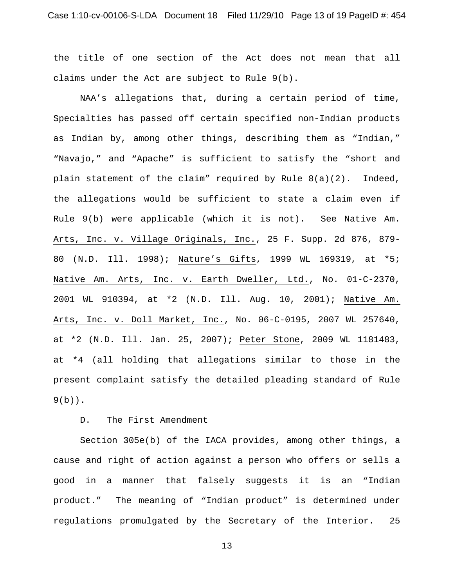the title of one section of the Act does not mean that all claims under the Act are subject to Rule 9(b).

NAA's allegations that, during a certain period of time, Specialties has passed off certain specified non-Indian products as Indian by, among other things, describing them as "Indian," "Navajo," and "Apache" is sufficient to satisfy the "short and plain statement of the claim" required by Rule 8(a)(2). Indeed, the allegations would be sufficient to state a claim even if Rule 9(b) were applicable (which it is not). See Native Am. Arts, Inc. v. Village Originals, Inc., 25 F. Supp. 2d 876, 879- 80 (N.D. Ill. 1998); Nature's Gifts, 1999 WL 169319, at \*5; Native Am. Arts, Inc. v. Earth Dweller, Ltd., No. 01-C-2370, 2001 WL 910394, at \*2 (N.D. Ill. Aug. 10, 2001); Native Am. Arts, Inc. v. Doll Market, Inc., No. 06-C-0195, 2007 WL 257640, at \*2 (N.D. Ill. Jan. 25, 2007); Peter Stone, 2009 WL 1181483, at \*4 (all holding that allegations similar to those in the present complaint satisfy the detailed pleading standard of Rule  $9(b)$ .

# D. The First Amendment

Section 305e(b) of the IACA provides, among other things, a cause and right of action against a person who offers or sells a good in a manner that falsely suggests it is an "Indian product." The meaning of "Indian product" is determined under regulations promulgated by the Secretary of the Interior. 25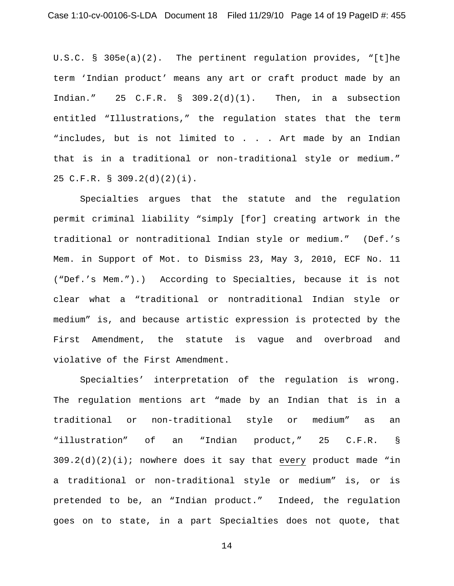U.S.C. § 305e(a)(2). The pertinent regulation provides, "[t]he term 'Indian product' means any art or craft product made by an Indian." 25 C.F.R. §  $309.2(d)(1)$ . Then, in a subsection entitled "Illustrations," the regulation states that the term "includes, but is not limited to . . . Art made by an Indian that is in a traditional or non-traditional style or medium." 25 C.F.R. § 309.2(d)(2)(i).

Specialties argues that the statute and the regulation permit criminal liability "simply [for] creating artwork in the traditional or nontraditional Indian style or medium." (Def.'s Mem. in Support of Mot. to Dismiss 23, May 3, 2010, ECF No. 11 ("Def.'s Mem.").) According to Specialties, because it is not clear what a "traditional or nontraditional Indian style or medium" is, and because artistic expression is protected by the First Amendment, the statute is vague and overbroad and violative of the First Amendment.

Specialties' interpretation of the regulation is wrong. The regulation mentions art "made by an Indian that is in a traditional or non-traditional style or medium" as an "illustration" of an "Indian product," 25 C.F.R. §  $309.2(d)(2)(i)$ ; nowhere does it say that every product made "in a traditional or non-traditional style or medium" is, or is pretended to be, an "Indian product." Indeed, the regulation goes on to state, in a part Specialties does not quote, that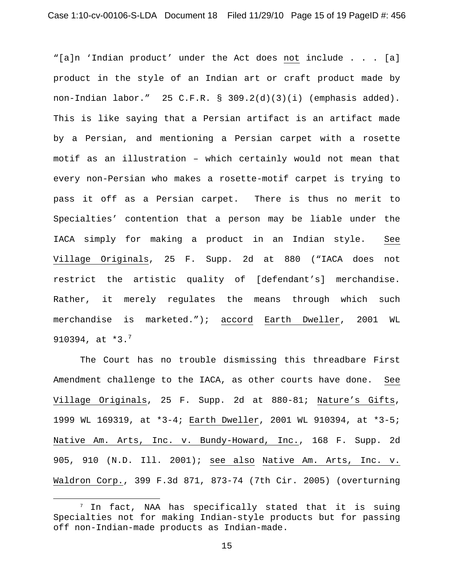"[a]n 'Indian product' under the Act does not include . . . [a] product in the style of an Indian art or craft product made by non-Indian labor." 25 C.F.R. § 309.2(d)(3)(i) (emphasis added). This is like saying that a Persian artifact is an artifact made by a Persian, and mentioning a Persian carpet with a rosette motif as an illustration – which certainly would not mean that every non-Persian who makes a rosette-motif carpet is trying to pass it off as a Persian carpet. There is thus no merit to Specialties' contention that a person may be liable under the IACA simply for making a product in an Indian style. See Village Originals, 25 F. Supp. 2d at 880 ("IACA does not restrict the artistic quality of [defendant's] merchandise. Rather, it merely regulates the means through which such merchandise is marketed."); accord Earth Dweller, 2001 WL 910394, at  $*3.^7$ 

The Court has no trouble dismissing this threadbare First Amendment challenge to the IACA, as other courts have done. See Village Originals, 25 F. Supp. 2d at 880-81; Nature's Gifts, 1999 WL 169319, at \*3-4; Earth Dweller, 2001 WL 910394, at \*3-5; Native Am. Arts, Inc. v. Bundy-Howard, Inc., 168 F. Supp. 2d 905, 910 (N.D. Ill. 2001); see also Native Am. Arts, Inc. v. Waldron Corp., 399 F.3d 871, 873-74 (7th Cir. 2005) (overturning

 $7$  In fact, NAA has specifically stated that it is suing Specialties not for making Indian-style products but for passing off non-Indian-made products as Indian-made.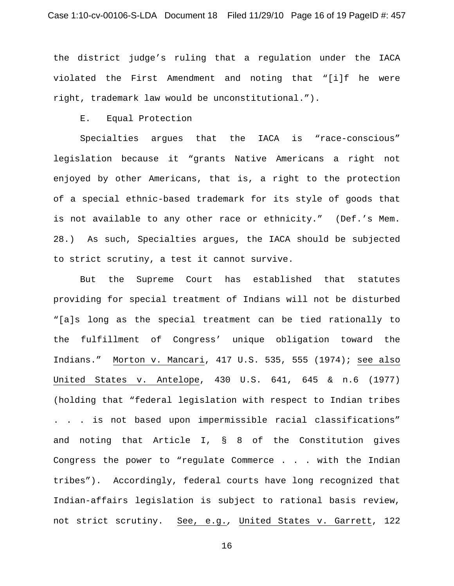the district judge's ruling that a regulation under the IACA violated the First Amendment and noting that "[i]f he were right, trademark law would be unconstitutional.").

E. Equal Protection

Specialties argues that the IACA is "race-conscious" legislation because it "grants Native Americans a right not enjoyed by other Americans, that is, a right to the protection of a special ethnic-based trademark for its style of goods that is not available to any other race or ethnicity." (Def.'s Mem. 28.) As such, Specialties argues, the IACA should be subjected to strict scrutiny, a test it cannot survive.

But the Supreme Court has established that statutes providing for special treatment of Indians will not be disturbed "[a]s long as the special treatment can be tied rationally to the fulfillment of Congress' unique obligation toward the Indians." Morton v. Mancari, 417 U.S. 535, 555 (1974); see also United States v. Antelope, 430 U.S. 641, 645 & n.6 (1977) (holding that "federal legislation with respect to Indian tribes . . . is not based upon impermissible racial classifications" and noting that Article I, § 8 of the Constitution gives Congress the power to "regulate Commerce . . . with the Indian tribes"). Accordingly, federal courts have long recognized that Indian-affairs legislation is subject to rational basis review, not strict scrutiny. See, e.g.*,* United States v. Garrett, 122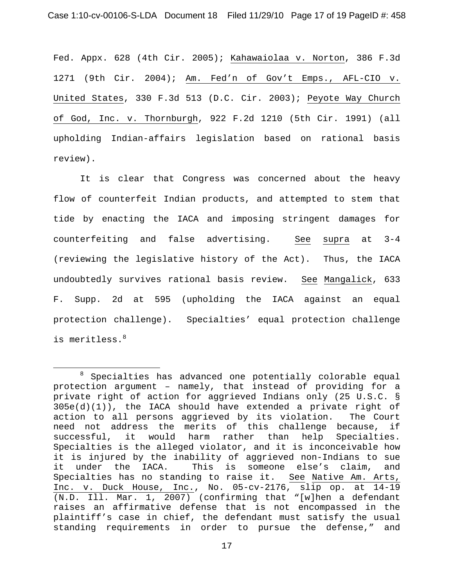Fed. Appx. 628 (4th Cir. 2005); Kahawaiolaa v. Norton, 386 F.3d 1271 (9th Cir. 2004); Am. Fed'n of Gov't Emps., AFL-CIO v. United States, 330 F.3d 513 (D.C. Cir. 2003); Peyote Way Church of God, Inc. v. Thornburgh, 922 F.2d 1210 (5th Cir. 1991) (all upholding Indian-affairs legislation based on rational basis review).

It is clear that Congress was concerned about the heavy flow of counterfeit Indian products, and attempted to stem that tide by enacting the IACA and imposing stringent damages for counterfeiting and false advertising. See supra at 3-4 (reviewing the legislative history of the Act). Thus, the IACA undoubtedly survives rational basis review. See Mangalick, 633 F. Supp. 2d at 595 (upholding the IACA against an equal protection challenge). Specialties' equal protection challenge is meritless.<sup>8</sup>

 <sup>8</sup>  $8$  Specialties has advanced one potentially colorable equal protection argument – namely, that instead of providing for a private right of action for aggrieved Indians only (25 U.S.C. § 305e(d)(1)), the IACA should have extended a private right of action to all persons aggrieved by its violation. The Court need not address the merits of this challenge because, if successful, it would harm rather than help Specialties. Specialties is the alleged violator, and it is inconceivable how it is injured by the inability of aggrieved non-Indians to sue it under the IACA. This is someone else's claim, and Specialties has no standing to raise it. See Native Am. Arts, Inc. v. Duck House, Inc., No. 05-cv-2176, slip op. at 14-19  $\overline{(N.D. Ill. Marx. 1, 2007)}$  (confirming that "[w]hen a defendant raises an affirmative defense that is not encompassed in the plaintiff's case in chief, the defendant must satisfy the usual standing requirements in order to pursue the defense," and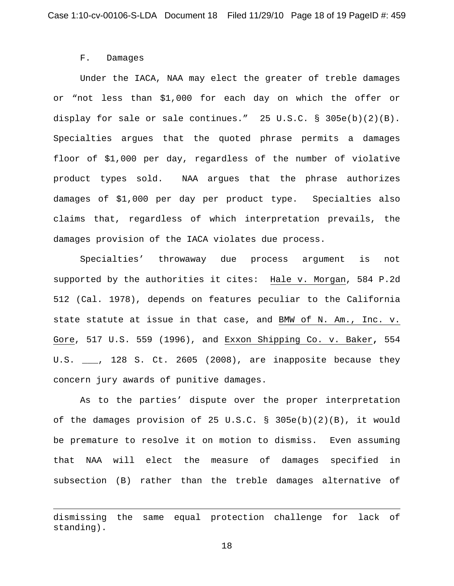#### F. Damages

i

Under the IACA, NAA may elect the greater of treble damages or "not less than \$1,000 for each day on which the offer or display for sale or sale continues." 25 U.S.C. § 305e(b)(2)(B). Specialties argues that the quoted phrase permits a damages floor of \$1,000 per day, regardless of the number of violative product types sold. NAA argues that the phrase authorizes damages of \$1,000 per day per product type. Specialties also claims that, regardless of which interpretation prevails, the damages provision of the IACA violates due process.

Specialties' throwaway due process argument is not supported by the authorities it cites: Hale v. Morgan, 584 P.2d 512 (Cal. 1978), depends on features peculiar to the California state statute at issue in that case, and BMW of N. Am., Inc. v. Gore, 517 U.S. 559 (1996), and Exxon Shipping Co. v. Baker**,** 554 U.S.  $\_\_\_\$ , 128 S. Ct. 2605 (2008), are inapposite because they concern jury awards of punitive damages.

As to the parties' dispute over the proper interpretation of the damages provision of 25 U.S.C. § 305e(b)(2)(B), it would be premature to resolve it on motion to dismiss. Even assuming that NAA will elect the measure of damages specified in subsection (B) rather than the treble damages alternative of

dismissing the same equal protection challenge for lack of standing).